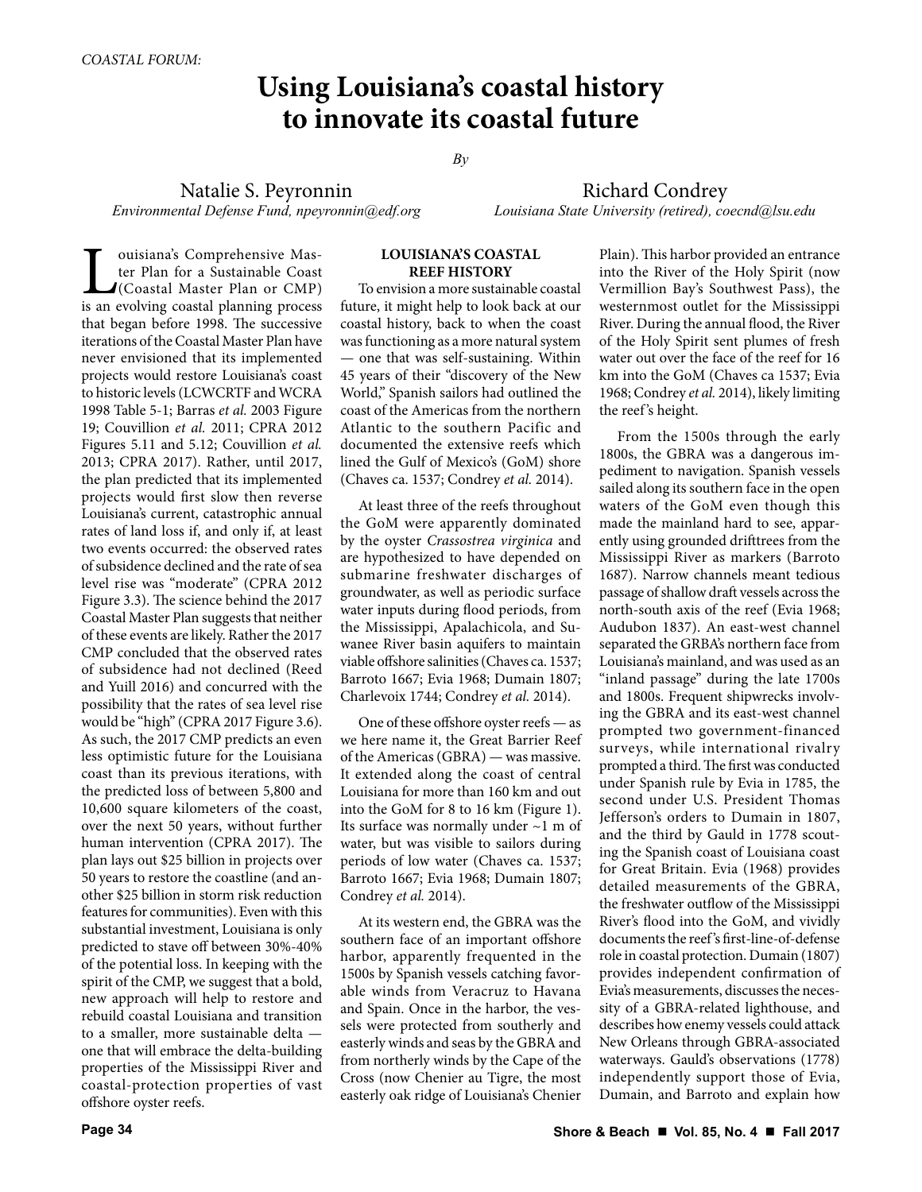# **Using Louisiana's coastal history to innovate its coastal future**

*By*

Natalie S. Peyronnin *Environmental Defense Fund, npeyronnin@edf.org*

Richard Condrey *Louisiana State University (retired), coecnd@lsu.edu*

**Let a** comprehensive Master Plan for a Sustainable Coast<br>(Coastal Master Plan or CMP) is an evolving coastal planning process ter Plan for a Sustainable Coast (Coastal Master Plan or CMP) is an evolving coastal planning process that began before 1998. The successive iterations of the Coastal Master Plan have never envisioned that its implemented projects would restore Louisiana's coast to historic levels (LCWCRTF and WCRA 1998 Table 5-1; Barras *et al.* 2003 Figure 19; Couvillion *et al.* 2011; CPRA 2012 Figures 5.11 and 5.12; Couvillion *et al.* 2013; CPRA 2017). Rather, until 2017, the plan predicted that its implemented projects would first slow then reverse Louisiana's current, catastrophic annual rates of land loss if, and only if, at least two events occurred: the observed rates of subsidence declined and the rate of sea level rise was "moderate" (CPRA 2012 Figure 3.3). The science behind the 2017 Coastal Master Plan suggests that neither of these events are likely. Rather the 2017 CMP concluded that the observed rates of subsidence had not declined (Reed and Yuill 2016) and concurred with the possibility that the rates of sea level rise would be "high" (CPRA 2017 Figure 3.6). As such, the 2017 CMP predicts an even less optimistic future for the Louisiana coast than its previous iterations, with the predicted loss of between 5,800 and 10,600 square kilometers of the coast, over the next 50 years, without further human intervention (CPRA 2017). The plan lays out \$25 billion in projects over 50 years to restore the coastline (and another \$25 billion in storm risk reduction features for communities). Even with this substantial investment, Louisiana is only predicted to stave off between 30%-40% of the potential loss. In keeping with the spirit of the CMP, we suggest that a bold, new approach will help to restore and rebuild coastal Louisiana and transition to a smaller, more sustainable delta one that will embrace the delta-building properties of the Mississippi River and coastal-protection properties of vast offshore oyster reefs.

## **LOUISIANA'S COASTAL REEF HISTORY**

To envision a more sustainable coastal future, it might help to look back at our coastal history, back to when the coast was functioning as a more natural system — one that was self-sustaining. Within 45 years of their "discovery of the New World," Spanish sailors had outlined the coast of the Americas from the northern Atlantic to the southern Pacific and documented the extensive reefs which lined the Gulf of Mexico's (GoM) shore (Chaves ca. 1537; Condrey *et al.* 2014).

At least three of the reefs throughout the GoM were apparently dominated by the oyster *Crassostrea virginica* and are hypothesized to have depended on submarine freshwater discharges of groundwater, as well as periodic surface water inputs during flood periods, from the Mississippi, Apalachicola, and Suwanee River basin aquifers to maintain viable offshore salinities (Chaves ca. 1537; Barroto 1667; Evia 1968; Dumain 1807; Charlevoix 1744; Condrey *et al.* 2014).

One of these offshore oyster reefs — as we here name it, the Great Barrier Reef of the Americas (GBRA) — was massive. It extended along the coast of central Louisiana for more than 160 km and out into the GoM for 8 to 16 km (Figure 1). Its surface was normally under ~1 m of water, but was visible to sailors during periods of low water (Chaves ca. 1537; Barroto 1667; Evia 1968; Dumain 1807; Condrey *et al.* 2014).

At its western end, the GBRA was the southern face of an important offshore harbor, apparently frequented in the 1500s by Spanish vessels catching favorable winds from Veracruz to Havana and Spain. Once in the harbor, the vessels were protected from southerly and easterly winds and seas by the GBRA and from northerly winds by the Cape of the Cross (now Chenier au Tigre, the most easterly oak ridge of Louisiana's Chenier Plain). This harbor provided an entrance into the River of the Holy Spirit (now Vermillion Bay's Southwest Pass), the westernmost outlet for the Mississippi River. During the annual flood, the River of the Holy Spirit sent plumes of fresh water out over the face of the reef for 16 km into the GoM (Chaves ca 1537; Evia 1968; Condrey *et al.* 2014), likely limiting the reef 's height.

From the 1500s through the early 1800s, the GBRA was a dangerous impediment to navigation. Spanish vessels sailed along its southern face in the open waters of the GoM even though this made the mainland hard to see, apparently using grounded drifttrees from the Mississippi River as markers (Barroto 1687). Narrow channels meant tedious passage of shallow draft vessels across the north-south axis of the reef (Evia 1968; Audubon 1837). An east-west channel separated the GRBA's northern face from Louisiana's mainland, and was used as an "inland passage" during the late 1700s and 1800s. Frequent shipwrecks involving the GBRA and its east-west channel prompted two government-financed surveys, while international rivalry prompted a third. The first was conducted under Spanish rule by Evia in 1785, the second under U.S. President Thomas Jefferson's orders to Dumain in 1807, and the third by Gauld in 1778 scouting the Spanish coast of Louisiana coast for Great Britain. Evia (1968) provides detailed measurements of the GBRA, the freshwater outflow of the Mississippi River's flood into the GoM, and vividly documents the reef 's first-line-of-defense role in coastal protection. Dumain (1807) provides independent confirmation of Evia's measurements, discusses the necessity of a GBRA-related lighthouse, and describes how enemy vessels could attack New Orleans through GBRA-associated waterways. Gauld's observations (1778) independently support those of Evia, Dumain, and Barroto and explain how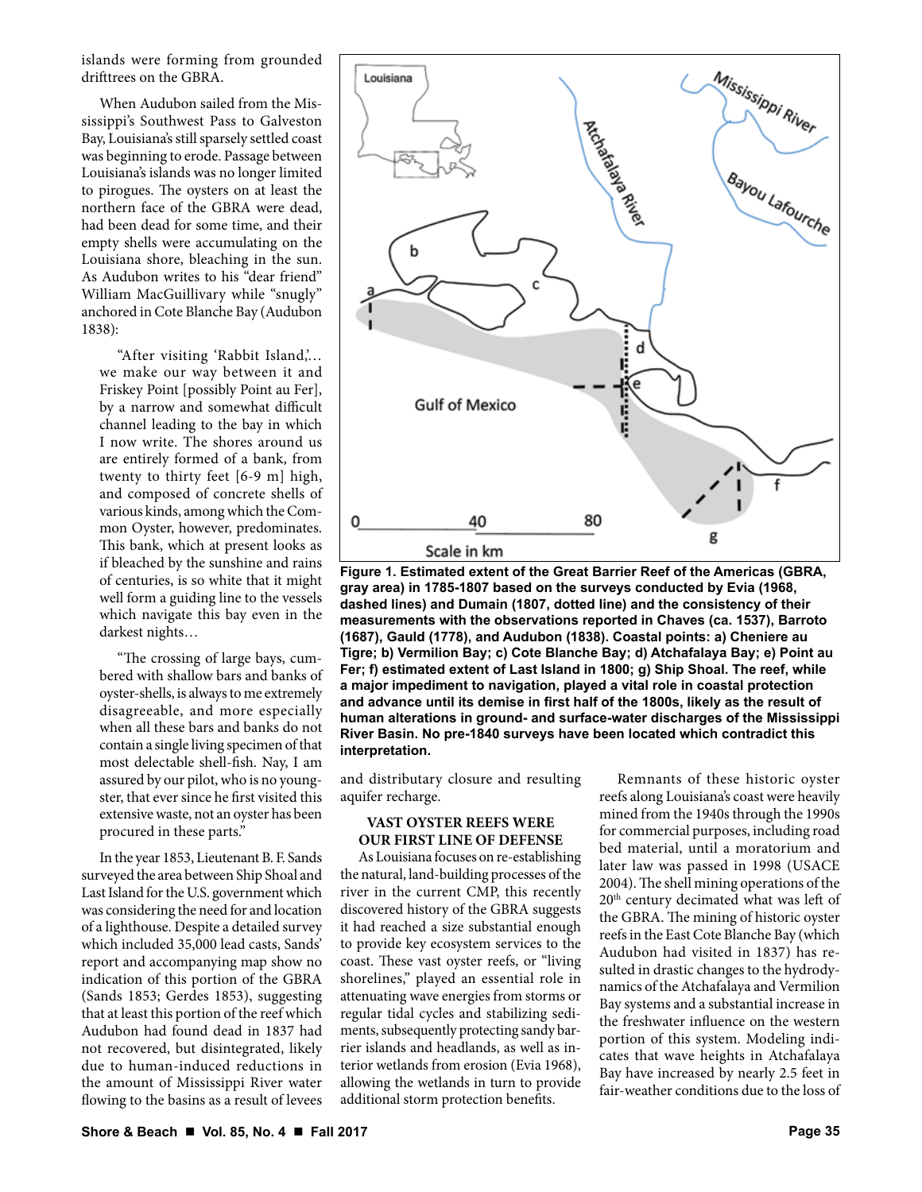islands were forming from grounded drifttrees on the GBRA.

When Audubon sailed from the Mississippi's Southwest Pass to Galveston Bay, Louisiana's still sparsely settled coast was beginning to erode. Passage between Louisiana's islands was no longer limited to pirogues. The oysters on at least the northern face of the GBRA were dead, had been dead for some time, and their empty shells were accumulating on the Louisiana shore, bleaching in the sun. As Audubon writes to his "dear friend" William MacGuillivary while "snugly" anchored in Cote Blanche Bay (Audubon 1838):

"After visiting 'Rabbit Island,'… we make our way between it and Friskey Point [possibly Point au Fer], by a narrow and somewhat difficult channel leading to the bay in which I now write. The shores around us are entirely formed of a bank, from twenty to thirty feet [6-9 m] high, and composed of concrete shells of various kinds, among which the Common Oyster, however, predominates. This bank, which at present looks as if bleached by the sunshine and rains of centuries, is so white that it might well form a guiding line to the vessels which navigate this bay even in the darkest nights…

"The crossing of large bays, cumbered with shallow bars and banks of oyster-shells, is always to me extremely disagreeable, and more especially when all these bars and banks do not contain a single living specimen of that most delectable shell-fish. Nay, I am assured by our pilot, who is no youngster, that ever since he first visited this extensive waste, not an oyster has been procured in these parts."

In the year 1853, Lieutenant B. F. Sands surveyed the area between Ship Shoal and Last Island for the U.S. government which was considering the need for and location of a lighthouse. Despite a detailed survey which included 35,000 lead casts, Sands' report and accompanying map show no indication of this portion of the GBRA (Sands 1853; Gerdes 1853), suggesting that at least this portion of the reef which Audubon had found dead in 1837 had not recovered, but disintegrated, likely due to human-induced reductions in the amount of Mississippi River water flowing to the basins as a result of levees





and distributary closure and resulting aquifer recharge.

## **VAST OYSTER REEFS WERE OUR FIRST LINE OF DEFENSE**

As Louisiana focuses on re-establishing the natural, land-building processes of the river in the current CMP, this recently discovered history of the GBRA suggests it had reached a size substantial enough to provide key ecosystem services to the coast. These vast oyster reefs, or "living shorelines," played an essential role in attenuating wave energies from storms or regular tidal cycles and stabilizing sediments, subsequently protecting sandy barrier islands and headlands, as well as interior wetlands from erosion (Evia 1968), allowing the wetlands in turn to provide additional storm protection benefits.

Remnants of these historic oyster reefs along Louisiana's coast were heavily mined from the 1940s through the 1990s for commercial purposes, including road bed material, until a moratorium and later law was passed in 1998 (USACE 2004). The shell mining operations of the 20th century decimated what was left of the GBRA. The mining of historic oyster reefs in the East Cote Blanche Bay (which Audubon had visited in 1837) has resulted in drastic changes to the hydrodynamics of the Atchafalaya and Vermilion Bay systems and a substantial increase in the freshwater influence on the western portion of this system. Modeling indicates that wave heights in Atchafalaya Bay have increased by nearly 2.5 feet in fair-weather conditions due to the loss of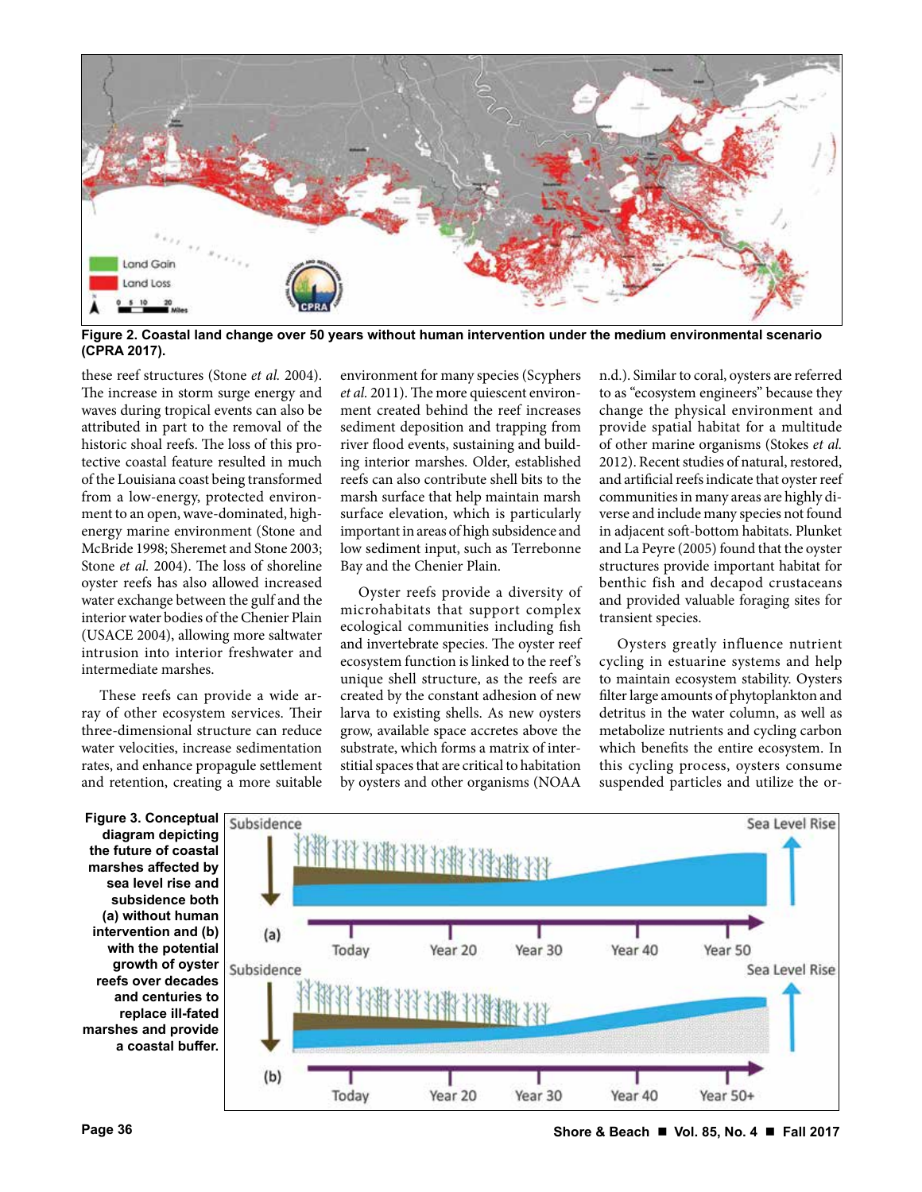

**Figure 2. Coastal land change over 50 years without human intervention under the medium environmental scenario (CPRA 2017).**

these reef structures (Stone *et al.* 2004). The increase in storm surge energy and waves during tropical events can also be attributed in part to the removal of the historic shoal reefs. The loss of this protective coastal feature resulted in much of the Louisiana coast being transformed from a low-energy, protected environment to an open, wave-dominated, highenergy marine environment (Stone and McBride 1998; Sheremet and Stone 2003; Stone *et al.* 2004). The loss of shoreline oyster reefs has also allowed increased water exchange between the gulf and the interior water bodies of the Chenier Plain (USACE 2004), allowing more saltwater intrusion into interior freshwater and intermediate marshes.

These reefs can provide a wide array of other ecosystem services. Their three-dimensional structure can reduce water velocities, increase sedimentation rates, and enhance propagule settlement and retention, creating a more suitable

environment for many species (Scyphers *et al.* 2011). The more quiescent environment created behind the reef increases sediment deposition and trapping from river flood events, sustaining and building interior marshes. Older, established reefs can also contribute shell bits to the marsh surface that help maintain marsh surface elevation, which is particularly important in areas of high subsidence and low sediment input, such as Terrebonne Bay and the Chenier Plain.

Oyster reefs provide a diversity of microhabitats that support complex ecological communities including fish and invertebrate species. The oyster reef ecosystem function is linked to the reef 's unique shell structure, as the reefs are created by the constant adhesion of new larva to existing shells. As new oysters grow, available space accretes above the substrate, which forms a matrix of interstitial spaces that are critical to habitation by oysters and other organisms (NOAA n.d.). Similar to coral, oysters are referred to as "ecosystem engineers" because they change the physical environment and provide spatial habitat for a multitude of other marine organisms (Stokes *et al.* 2012). Recent studies of natural, restored, and artificial reefs indicate that oyster reef communities in many areas are highly diverse and include many species not found in adjacent soft-bottom habitats. Plunket and La Peyre (2005) found that the oyster structures provide important habitat for benthic fish and decapod crustaceans and provided valuable foraging sites for transient species.

Oysters greatly influence nutrient cycling in estuarine systems and help to maintain ecosystem stability. Oysters filter large amounts of phytoplankton and detritus in the water column, as well as metabolize nutrients and cycling carbon which benefits the entire ecosystem. In this cycling process, oysters consume suspended particles and utilize the or-

**diagram depicting the future of coastal marshes affected by sea level rise and subsidence both (a) without human intervention and (b) with the potential growth of oyster reefs over decades and centuries to replace ill-fated marshes and provide a coastal buffer.**



**Page 36 Shore & Beach Vol. 85, No. 4 Fall 2017**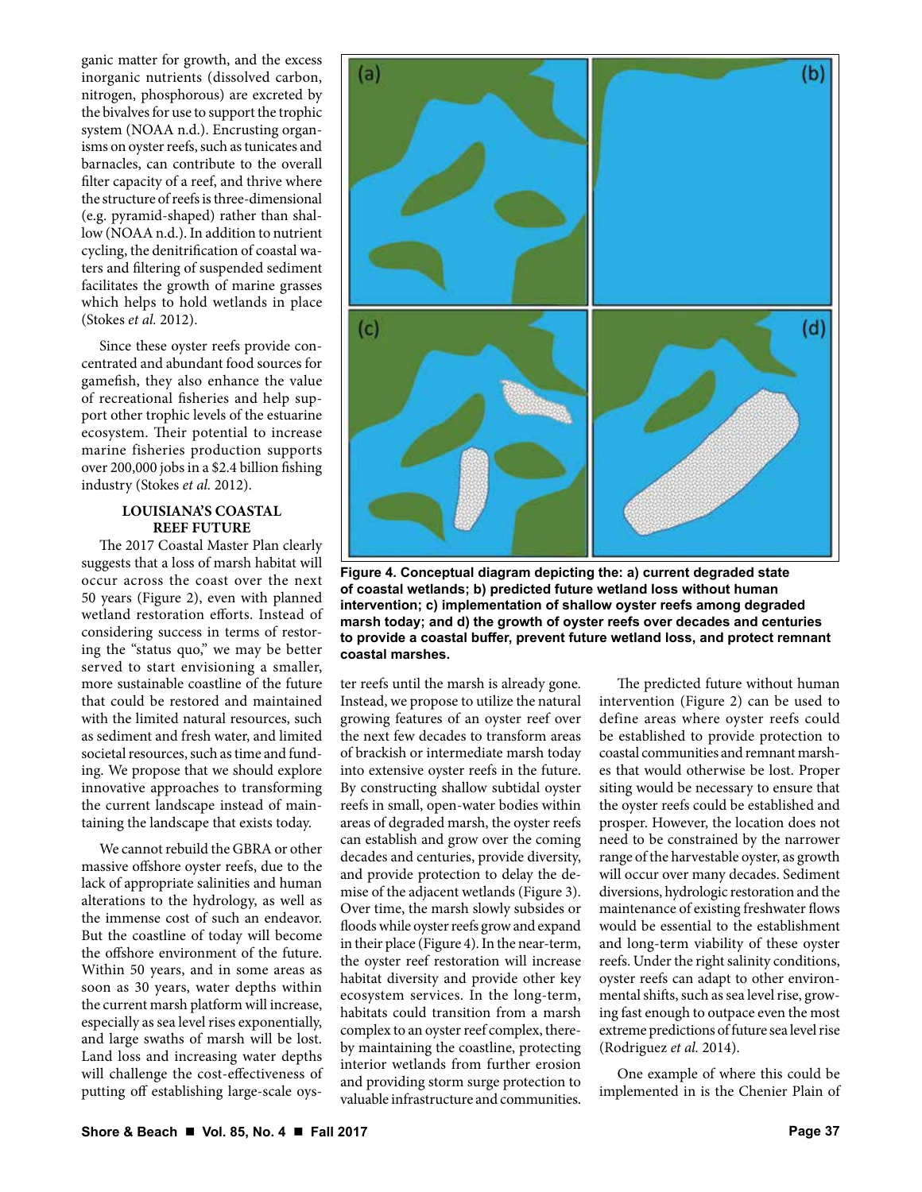ganic matter for growth, and the excess inorganic nutrients (dissolved carbon, nitrogen, phosphorous) are excreted by the bivalves for use to support the trophic system (NOAA n.d.). Encrusting organisms on oyster reefs, such as tunicates and barnacles, can contribute to the overall filter capacity of a reef, and thrive where the structure of reefs is three-dimensional (e.g. pyramid-shaped) rather than shallow (NOAA n.d.). In addition to nutrient cycling, the denitrification of coastal waters and filtering of suspended sediment facilitates the growth of marine grasses which helps to hold wetlands in place (Stokes *et al.* 2012).

Since these oyster reefs provide concentrated and abundant food sources for gamefish, they also enhance the value of recreational fisheries and help support other trophic levels of the estuarine ecosystem. Their potential to increase marine fisheries production supports over 200,000 jobs in a \$2.4 billion fishing industry (Stokes *et al.* 2012).

## **LOUISIANA'S COASTAL REEF FUTURE**

The 2017 Coastal Master Plan clearly suggests that a loss of marsh habitat will occur across the coast over the next 50 years (Figure 2), even with planned wetland restoration efforts. Instead of considering success in terms of restoring the "status quo," we may be better served to start envisioning a smaller, more sustainable coastline of the future that could be restored and maintained with the limited natural resources, such as sediment and fresh water, and limited societal resources, such as time and funding. We propose that we should explore innovative approaches to transforming the current landscape instead of maintaining the landscape that exists today.

We cannot rebuild the GBRA or other massive offshore oyster reefs, due to the lack of appropriate salinities and human alterations to the hydrology, as well as the immense cost of such an endeavor. But the coastline of today will become the offshore environment of the future. Within 50 years, and in some areas as soon as 30 years, water depths within the current marsh platform will increase, especially as sea level rises exponentially, and large swaths of marsh will be lost. Land loss and increasing water depths will challenge the cost-effectiveness of putting off establishing large-scale oys-



**Figure 4. Conceptual diagram depicting the: a) current degraded state of coastal wetlands; b) predicted future wetland loss without human intervention; c) implementation of shallow oyster reefs among degraded marsh today; and d) the growth of oyster reefs over decades and centuries to provide a coastal buffer, prevent future wetland loss, and protect remnant coastal marshes.** 

ter reefs until the marsh is already gone. Instead, we propose to utilize the natural growing features of an oyster reef over the next few decades to transform areas of brackish or intermediate marsh today into extensive oyster reefs in the future. By constructing shallow subtidal oyster reefs in small, open-water bodies within areas of degraded marsh, the oyster reefs can establish and grow over the coming decades and centuries, provide diversity, and provide protection to delay the demise of the adjacent wetlands (Figure 3). Over time, the marsh slowly subsides or floods while oyster reefs grow and expand in their place (Figure 4). In the near-term, the oyster reef restoration will increase habitat diversity and provide other key ecosystem services. In the long-term, habitats could transition from a marsh complex to an oyster reef complex, thereby maintaining the coastline, protecting interior wetlands from further erosion and providing storm surge protection to valuable infrastructure and communities.

The predicted future without human intervention (Figure 2) can be used to define areas where oyster reefs could be established to provide protection to coastal communities and remnant marshes that would otherwise be lost. Proper siting would be necessary to ensure that the oyster reefs could be established and prosper. However, the location does not need to be constrained by the narrower range of the harvestable oyster, as growth will occur over many decades. Sediment diversions, hydrologic restoration and the maintenance of existing freshwater flows would be essential to the establishment and long-term viability of these oyster reefs. Under the right salinity conditions, oyster reefs can adapt to other environmental shifts, such as sea level rise, growing fast enough to outpace even the most extreme predictions of future sea level rise (Rodriguez *et al.* 2014).

One example of where this could be implemented in is the Chenier Plain of